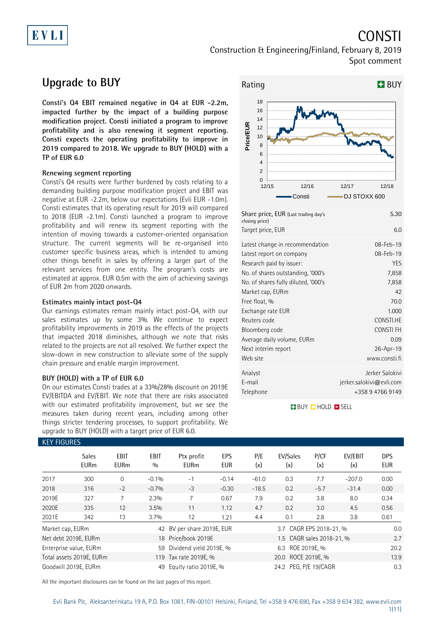# EVLI

CONSTI

Construction & Engineering/Finland, February 8, 2019 Spot comment

# **Upgrade to BUY**

**Consti's Q4 EBIT remained negative in Q4 at EUR -2.2m, impacted further by the impact of a building purpose modification project. Consti initiated a program to improve profitability and is also renewing it segment reporting. Consti expects the operating profitability to improve in 2019 compared to 2018. We upgrade to BUY (HOLD) with a TP of EUR 6.0**

### **Renewing segment reporting**

Consti's Q4 results were further burdened by costs relating to a demanding building purpose modification project and EBIT was negative at EUR -2.2m, below our expectations (Evli EUR -1.0m). Consti estimates that its operating result for 2019 will compared to 2018 (EUR -2.1m). Consti launched a program to improve profitability and will renew its segment reporting with the intention of moving towards a customer-oriented organisation structure. The current segments will be re-organised into customer specific business areas, which is intended to among other things benefit in sales by offering a larger part of the relevant services from one entity. The program's costs are estimated at approx. EUR 0.5m with the aim of achieving savings of EUR 2m from 2020 onwards.

### **Estimates mainly intact post-Q4**

Our earnings estimates remain mainly intact post-Q4, with our sales estimates up by some 3%. We continue to expect profitability improvements in 2019 as the effects of the projects that impacted 2018 diminishes, although we note that risks related to the projects are not all resolved. We further expect the slow-down in new construction to alleviate some of the supply chain pressure and enable margin improvement.

### **BUY (HOLD) with a TP of EUR 6.0**

On our estimates Consti trades at a 33%/28% discount on 2019E EV/EBITDA and EV/EBIT. We note that there are risks associated with our estimated profitability improvement, but we see the measures taken during recent years, including among other things stricter tendering processes, to support profitability. We upgrade to BUY (HOLD) with a target price of EUR 6.0.



| closing price)<br>Target price, EUR | 6.0                         |
|-------------------------------------|-----------------------------|
| Latest change in recommendation     | 08-Feb-19                   |
| Latest report on company            | 08-Feb-19                   |
| Research paid by issuer:            | YES                         |
| No. of shares outstanding, '000's   | 7,858                       |
| No. of shares fully diluted, '000's | 7,858                       |
| Market cap, EURm                    | 42                          |
| Free float, %                       | 70.0                        |
| Exchange rate EUR                   | 1.000                       |
| Reuters code                        | CONSTI.HE                   |
| Bloomberg code                      | <b>CONSTIFH</b>             |
| Average daily volume, EURm          | 0.09                        |
| Next interim report                 | 26-Apr-19                   |
| Web site                            | www.consti.fi               |
| Analyst                             | Jerker Salokivi             |
| E-mail                              | $j$ erker.salokivi@evli.com |
| Telephone                           | +358947669149               |
|                                     |                             |

**BUY QHOLD SELL** 

| <b>KEY FIGURES</b> |                             |                     |                    |                           |                   |            |                           |             |                |                          |  |
|--------------------|-----------------------------|---------------------|--------------------|---------------------------|-------------------|------------|---------------------------|-------------|----------------|--------------------------|--|
|                    | <b>Sales</b><br><b>EURm</b> | EBIT<br><b>EURm</b> | <b>EBIT</b><br>0/0 | Ptx profit<br><b>EURm</b> | EPS<br><b>EUR</b> | P/E<br>(x) | EV/Sales<br>(x)           | P/CF<br>(x) | EV/EBIT<br>(x) | <b>DPS</b><br><b>EUR</b> |  |
| 2017               | 300                         | $\Omega$            | $-0.1%$            | $-1$                      | $-0.14$           | $-61.0$    | 0.3                       | 7.7         | $-207.0$       | 0.00                     |  |
| 2018               | 316                         | $-2$                | $-0.7%$            | $-3$                      | $-0.30$           | $-18.5$    | 0.2                       | $-5.7$      | $-31.4$        | 0.00                     |  |
| 2019E              | 327                         | 7                   | 2.3%               |                           | 0.67              | 7.9        | 0.2                       | 3.8         | 8.0            | 0.34                     |  |
| 2020E              | 335                         | 12                  | 3.5%               | 11                        | 1.12              | 4.7        | 0.2                       | 3.0         | 4.5            | 0.56                     |  |
| 2021E              | 342                         | 13                  | 3.7%               | 12                        | 1.21              | 4.4        | 0.1                       | 2.8         | 3.8            | 0.61                     |  |
| Market cap, EURm   |                             |                     | 42                 | BV per share 2019E, EUR   |                   |            | 3.7 CAGR EPS 2018-21, %   |             |                | 0.0                      |  |
|                    | Net debt 2019E, EURm        |                     |                    | 18 Price/book 2019E       |                   |            | 1.5 CAGR sales 2018-21, % |             |                | 2.7                      |  |
|                    | Enterprise value, EURm      |                     | 59                 | Dividend yield 2019E, %   |                   |            | 6.3 ROE 2019E, %          |             |                |                          |  |
|                    | Total assets 2019E, EURm    |                     |                    | 119 Tax rate 2019E, %     |                   |            | 20.0 ROCE 2019E, %        |             |                | 13.9                     |  |
|                    | Goodwill 2019E, EURm        |                     | 49                 | Equity ratio 2019E, %     |                   |            | 24.2 PEG, P/E 19/CAGR     |             |                | 0.3                      |  |

All the important disclosures can be found on the last pages of this report.

## Evli Bank Plc, Aleksanterinkatu 19 A, P.O. Box 1081, FIN-00101 Helsinki, Finland, Tel +358 9 476 690, Fax +358 9 634 382, [www.evli.com](http://www.evli.com/)

### 1(11)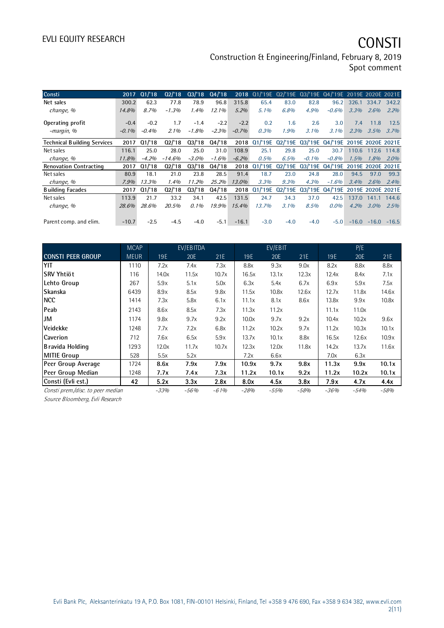Construction & Engineering/Finland, February 8, 2019 Spot comment

| Consti                             | 2017     | Q1/18   | 02/18    | Q3/18   | Q4/18   |         | 2018 01/'19E 02/'19E 03/'19E 04/'19E 2019E 2020E 2021E |         |          |                                   |         |         |         |
|------------------------------------|----------|---------|----------|---------|---------|---------|--------------------------------------------------------|---------|----------|-----------------------------------|---------|---------|---------|
| Net sales                          | 300.2    | 62.3    | 77.8     | 78.9    | 96.8    | 315.8   | 65.4                                                   | 83.0    | 82.8     | 96.2                              | 326.1   | 334.7   | 342.2   |
| change, %                          | 14.8%    | 8.7%    | $-1.3%$  | 1.4%    | 12.1%   | 5.2%    | 5.1%                                                   | 6.8%    | 4.9%     | $-0.6%$                           | 3.3%    | 2.6%    | 2.2%    |
| Operating profit                   | $-0.4$   | $-0.2$  | 1.7      | $-1.4$  | $-2.2$  | $-2.2$  | 0.2                                                    | 1.6     | 2.6      | 3.0                               | 7.4     | 11.8    | 12.5    |
| -margin, %                         | $-0.1\%$ | $-0.4%$ | $2.1\%$  | $-1.8%$ | $-2.3%$ | $-0.7%$ | 0.3%                                                   | 1.9%    | $3.1\%$  | 3.1%                              | 2.3%    | 3.5%    | 3.7%    |
| <b>Technical Building Services</b> | 2017     | Q1/18   | Q2/18    | Q3/18   | Q4/18   | 2018    | Q1/'19E Q2/'19E                                        |         |          | 03/'19E 04/'19E 2019E 2020E 2021E |         |         |         |
| Net sales                          | 116.1    | 25.0    | 28.0     | 25.0    | 31.0    | 108.9   | 25.1                                                   | 29.8    | 25.0     | 30.7                              | 110.6   | 112.6   | 114.8   |
| change, %                          | 11.8%    | $-4.2%$ | $-14.6%$ | $-3.0%$ | $-1.6%$ | $-6.2%$ | 0.5%                                                   | 6.5%    | $-0.1\%$ | $-0.8%$                           | 1.5%    | 1.8%    | 2.0%    |
| <b>Renovation Contracting</b>      | 2017     | Q1/18   | 02/18    | 03/18   | Q4/18   | 2018    | Q1/19E                                                 | Q2/'19E |          | 03/'19E 04/'19E 2019E 2020E 2021E |         |         |         |
| Net sales                          | 80.9     | 18.1    | 21.0     | 23.8    | 28.5    | 91.4    | 18.7                                                   | 23.0    | 24.8     | 28.0                              | 94.5    | 97.0    | 99.3    |
| change, %                          | 7.9%     | 13.3%   | 1.4%     | 11.2%   | 25.2%   | 13.0%   | 3.3%                                                   | 9.3%    | 4.3%     | $-1.6%$                           | 3.4%    | 2.6%    | 2.4%    |
| <b>Building Facades</b>            | 2017     | Q1/18   | Q2/18    | 03/18   | 04/18   | 2018    | Q1/19E                                                 | Q2/19E  |          | 03/'19E 04/'19E 2019E 2020E 2021E |         |         |         |
| Net sales                          | 113.9    | 21.7    | 33.2     | 34.1    | 42.5    | 131.5   | 24.7                                                   | 34.3    | 37.0     | 42.5                              | 137.0   | 141.1   | 144.6   |
| change, %                          | 28.6%    | 28.6%   | 20.5%    | $0.1\%$ | 19.9%   | 15.4%   | 13.7%                                                  | 3.1%    | 8.5%     | $0.0\%$                           | 4.2%    | $3.0\%$ | 2.5%    |
|                                    |          |         |          |         |         |         |                                                        |         |          |                                   |         |         |         |
| Parent comp. and elim.             | $-10.7$  | $-2.5$  | $-4.5$   | $-4.0$  | $-5.1$  | $-16.1$ | $-3.0$                                                 | $-4.0$  | $-4.0$   | $-5.0$                            | $-16.0$ | $-16.0$ | $-16.5$ |

|                                   | <b>MCAP</b> |        | EV/EBITDA |        |        | EV/EBIT |       |        | P/E    |       |
|-----------------------------------|-------------|--------|-----------|--------|--------|---------|-------|--------|--------|-------|
| <b>CONSTI PEER GROUP</b>          | <b>MEUR</b> | 19E    | 20E       | 21E    | 19E    | 20E     | 21E   | 19E    | 20E    | 21E   |
| YIT                               | 1110        | 7.2x   | 7.4x      | 7.3x   | 8.8x   | 9.3x    | 9.0x  | 8.2x   | 8.8x   | 8.8x  |
| lSRV Yhtiöt                       | 116         | 14.0x  | 11.5x     | 10.7x  | 16.5x  | 13.1x   | 12.3x | 12.4x  | 8.4x   | 7.1x  |
| Lehto Group                       | 267         | 5.9x   | 5.1x      | 5.0x   | 6.3x   | 5.4x    | 6.7x  | 6.9x   | 5.9x   | 7.5x  |
| Skanska                           | 6439        | 8.9x   | 8.5x      | 9.8x   | 11.5x  | 10.8x   | 12.6x | 12.7x  | 11.8x  | 14.6x |
| <b>NCC</b>                        | 1414        | 7.3x   | 5.8x      | 6.1x   | 11.1x  | 8.1x    | 8.6x  | 13.8x  | 9.9x   | 10.8x |
| Peab                              | 2143        | 8.6x   | 8.5x      | 7.3x   | 11.3x  | 11.2x   |       | 11.1x  | 11.0x  |       |
| JM                                | 1174        | 9.8x   | 9.7x      | 9.2x   | 10.0x  | 9.7x    | 9.2x  | 10.4x  | 10.2x  | 9.6x  |
| Veidekke                          | 1248        | 7.7x   | 7.2x      | 6.8x   | 11.2x  | 10.2x   | 9.7x  | 11.2x  | 10.3x  | 10.1x |
| <b>Caverion</b>                   | 712         | 7.6x   | 6.5x      | 5.9x   | 13.7x  | 10.1x   | 8.8x  | 16.5x  | 12.6x  | 10.9x |
| Bravida Holding                   | 1293        | 12.0x  | 11.7x     | 10.7x  | 12.3x  | 12.0x   | 11.8x | 14.2x  | 13.7x  | 11.6x |
| <b>MITIE Group</b>                | 528         | 5.5x   | 5.2x      |        | 7.2x   | 6.6x    |       | 7.0x   | 6.3x   |       |
| Peer Group Average                | 1724        | 8.6x   | 7.9x      | 7.9x   | 10.9x  | 9.7x    | 9.8x  | 11.3x  | 9.9x   | 10.1x |
| Peer Group Median                 | 1248        | 7.7x   | 7.4x      | 7.3x   | 11.2x  | 10.1x   | 9.2x  | 11.2x  | 10.2x  | 10.1x |
| Consti (Evli est.)                | 42          | 5.2x   | 3.3x      | 2.8x   | 8.0x   | 4.5x    | 3.8x  | 7.9x   | 4.7x   | 4.4x  |
| Consti prem./disc. to peer median |             | $-33%$ | $-56%$    | $-61%$ | $-28%$ | $-55%$  | -58%  | $-36%$ | $-54%$ | -58%  |

Source Bloomberg, Evli Research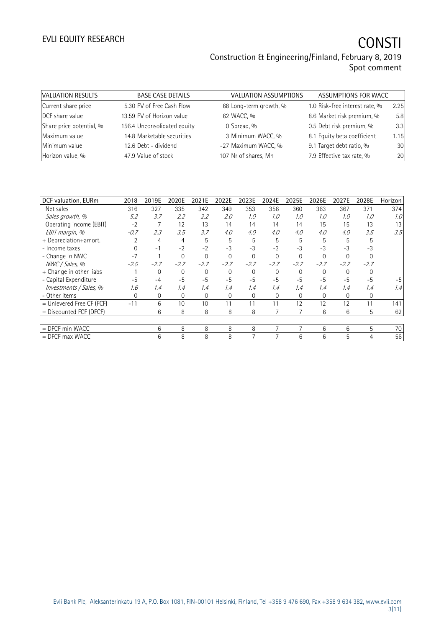# EVLI EQUITY RESEARCH **CONSTI**

### Construction & Engineering/Finland, February 8, 2019 Spot comment

| VALUATION RESULTS        | <b>BASE CASE DETAILS</b>    | <b>VALUATION ASSUMPTIONS</b> | ASSUMPTIONS FOR WACC           |      |
|--------------------------|-----------------------------|------------------------------|--------------------------------|------|
| Current share price      | 5.30 PV of Free Cash Flow   | 68 Long-term growth, %       | 1.0 Risk-free interest rate, % | 2.25 |
| DCF share value          | 13.59 PV of Horizon value   | 62 WACC, %                   | 8.6 Market risk premium, %     | 5.8  |
| Share price potential, % | 156.4 Unconsolidated equity | 0 Spread, %                  | 0.5 Debt risk premium, %       | 3.3  |
| Maximum value            | 14.8 Marketable securities  | 3 Minimum WACC, %            | 8.1 Equity beta coefficient    | 1.15 |
| Minimum value            | 12.6 Debt - dividend        | -27 Maximum WACC, %          | 9.1 Target debt ratio, %       | 30   |
| Horizon value, %         | 47.9 Value of stock         | 107 Nr of shares, Mn         | 7.9 Effective tax rate, %      | 20   |

| DCF valuation, EURm       | 2018     | 2019E       | 2020E        | 2021E    | 2022E    | 2023E    | 2024E       | 2025E       | 2026E       | 2027E    | 2028E       | Horizon |
|---------------------------|----------|-------------|--------------|----------|----------|----------|-------------|-------------|-------------|----------|-------------|---------|
| Net sales                 | 316      | 327         | 335          | 342      | 349      | 353      | 356         | 360         | 363         | 367      | 371         | 374     |
| Sales growth, %           | 5.2      | 3.7         | 2.2          | 2.2      | 2.0      | 1.0      | 1.0         | 1.0         | 1.0         | 1.0      | 1.0         | 1.0     |
| Operating income (EBIT)   | $-2$     | 7           | 12           | 13       | 14       | 14       | 14          | 14          | 15          | 15       | 13          | 13      |
| EBIT margin, %            | $-0.7$   | 2.3         | 3.5          | 3.7      | 4.0      | 4.0      | 4.0         | 4.0         | 4.0         | 4.0      | 3.5         | 3.5     |
| + Depreciation+amort.     |          | 4           | 4            | 5        | 5        | 5        | 5           | 5           | 5           | 5        | 5           |         |
| - Income taxes            |          | $-1$        | $-2$         | $-2$     | $-3$     | $-3$     | $-3$        | $-3$        | $-3$        | $-3$     | $-3$        |         |
| - Change in NWC           | $-7$     |             | $\Omega$     | $\Omega$ | $\Omega$ | $\Omega$ | $\Omega$    | $\Omega$    |             |          |             |         |
| NWC / Sales, %            | $-2.5$   | $-2.7$      | $-2.7$       | $-2.7$   | $-2.7$   | $-2.7$   | $-2.7$      | $-2.7$      | $-2.7$      | $-2.7$   | $-2.7$      |         |
| + Change in other liabs   |          | $\mathbf 0$ | 0            | 0        | 0        | $\Omega$ | 0           | 0           | $\mathbf 0$ | $\Omega$ |             |         |
| - Capital Expenditure     | $-5$     | $-4$        | $-5$         | $-5$     | $-5$     | $-5$     | $-5$        | $-5$        | $-5$        | $-5$     | $-5$        | $-5$    |
| Investments / Sales, %    | 1.6      | 1.4         | 1.4          | 1.4      | 1.4      | 1.4      | 1.4         | 1.4         | 1.4         | 1.4      | 1.4         | 1.4     |
| - Other items             | $\Omega$ | 0           | $\mathbf{0}$ | 0        | 0        | 0        | $\mathbf 0$ | $\mathbf 0$ | $\mathbf 0$ | $\Omega$ | $\mathbf 0$ |         |
| = Unlevered Free CF (FCF) | $-11$    | 6           | 10           | 10       | 11       | 11       | 11          | 12          | 12          | 12       | 11          | 141     |
| = Discounted FCF (DFCF)   |          | 6           | 8            | 8        | 8        | 8        | 7           | 7           | 6           | 6        | 5           | 62      |
|                           |          |             |              |          |          |          |             |             |             |          |             |         |
| = DFCF min WACC           |          | 6           | 8            | 8        | 8        | 8        | 7           | 7           | 6           | 6        | 5           | 70      |
| $=$ DFCF max WACC         |          | 6           | 8            | 8        | 8        |          |             | 6           | 6           | 5        | 4           | 56      |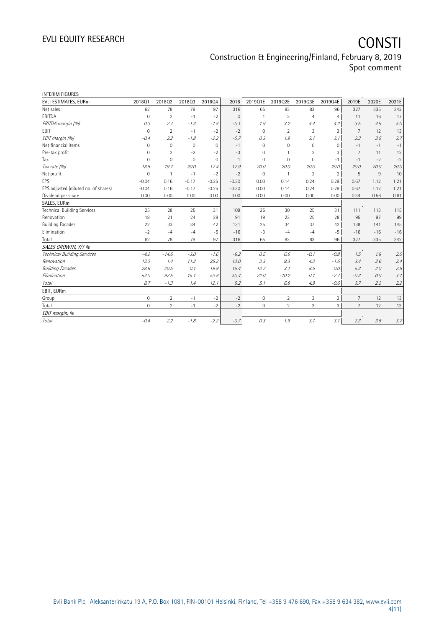# EVLI EQUITY RESEARCH **CONSTI**

### Construction & Engineering/Finland, February 8, 2019 Spot comment

| <b>INTERIM FIGURES</b>               |                     |                |              |              |          |              |                |                |                |                |       |       |
|--------------------------------------|---------------------|----------------|--------------|--------------|----------|--------------|----------------|----------------|----------------|----------------|-------|-------|
| EVLI ESTIMATES, EURm                 | 201801              | 201802         | 201803       | 201804       | 2018     | 2019Q1E      | 2019Q2E        | 2019Q3E        | 2019Q4E        | 2019E          | 2020E | 2021E |
| Net sales                            | 62                  | 78             | 79           | 97           | 316      | 65           | 83             | 83             | 96             | 327            | 335   | 342   |
| EBITDA                               | $\mathbf 0$         | $\overline{2}$ | $-1$         | $-2$         | $\Omega$ | $\mathbf{1}$ | 3              | $\overline{4}$ | 4              | 11             | 16    | 17    |
| EBITDA margin (%)                    | 0.3                 | 2.7            | $-1.3$       | $-1.8$       | $-0.1$   | 1.9          | 3.2            | 4.4            | 4.2            | 3.5            | 4.9   | 5.0   |
| <b>EBIT</b>                          | $\mathbf 0$         | $\overline{2}$ | $-1$         | $-2$         | $-2$     | $\mathbf 0$  | $\overline{2}$ | 3              | 3              | 7              | 12    | 13    |
| EBIT margin (%)                      | $-0.4$              | 2.2            | $-1.8$       | $-2.2$       | $-0.7$   | 0.3          | 1.9            | 3.1            | 3.1            | 2.3            | 3.5   | 3.7   |
| Net financial items                  | $\Omega$            | $\mathbf 0$    | $\mathbf{0}$ | $\mathbf{0}$ | $-1$     | $\Omega$     | $\Omega$       | 0              | $\Omega$       | $-1$           | $-1$  | $-1$  |
| Pre-tax profit                       | 0                   | $\overline{2}$ | $-2$         | $-2$         | $-3$     | $\mathbf 0$  | 1              | $\overline{2}$ | 3              | 7              | 11    | 12    |
| Tax                                  | $\Omega$            | $\Omega$       | $\mathbf{0}$ | $\mathbf{0}$ | 1        | $\mathbf 0$  | $\Omega$       | $\mathbf 0$    | $-1$           | $-1$           | $-2$  | $-2$  |
| Tax rate (%)                         | 18.9                | 19.7           | 20.0         | 17.4         | 17.9     | 20.0         | 20.0           | 20.0           | 20.0           | 20.0           | 20.0  | 20.0  |
| Net profit                           | $\mathbf 0$         | $\mathbf{1}$   | $-1$         | $-2$         | $-2$     | $\mathbf 0$  | $\mathbf{1}$   | $\overline{2}$ | $\overline{2}$ | 5              | 9     | 10    |
| EPS                                  | $-0.04$             | 0.16           | $-0.17$      | $-0.25$      | $-0.30$  | 0.00         | 0.14           | 0.24           | 0.29           | 0.67           | 1.12  | 1.21  |
| EPS adjusted (diluted no. of shares) | $-0.04$             | 0.16           | $-0.17$      | $-0.25$      | $-0.30$  | 0.00         | 0.14           | 0.24           | 0.29           | 0.67           | 1.12  | 1.21  |
| Dividend per share                   | 0.00                | 0.00           | 0.00         | 0.00         | 0.00     | 0.00         | 0.00           | 0.00           | 0.00           | 0.34           | 0.56  | 0.61  |
| SALES, EURm                          |                     |                |              |              |          |              |                |                |                |                |       |       |
| <b>Technical Building Services</b>   | 25                  | 28             | 25           | 31           | 109      | 25           | 30             | 25             | 31             | 111            | 113   | 115   |
| Renovation                           | 18                  | 21             | 24           | 28           | 91       | 19           | 23             | 25             | 28             | 95             | 97    | 99    |
| <b>Building Facades</b>              | 22                  | 33             | 34           | 42           | 131      | 25           | 34             | 37             | 42             | 138            | 141   | 145   |
| Elimination                          | $-2$                | $-4$           | $-4$         | $-5$         | $-16$    | $-3$         | $-4$           | $-4$           | $-5$           | $-16$          | $-16$ | $-16$ |
| Total                                | 62                  | 78             | 79           | 97           | 316      | 65           | 83             | 83             | 96             | 327            | 335   | 342   |
| SALES GROWTH, Y/Y %                  |                     |                |              |              |          |              |                |                |                |                |       |       |
| Technical Building Services          | $-4.2$              | $-14.6$        | $-3.0$       | $-1.6$       | $-6.2$   | 0.5          | 6.5            | $-0.1$         | $-0.8$         | 1.5            | 1.8   | 2.0   |
| Renovation                           | 13.3                | 1.4            | 11.2         | 25.2         | 13.0     | 3.3          | 9.3            | 4.3            | $-1.6$         | 3.4            | 2.6   | 2.4   |
| <b>Building Facades</b>              | 28.6                | 20.5           | 0.1          | 19.9         | 15.4     | 13.7         | 3.1            | 8.5            | 0.0            | 5.2            | 2.0   | 2.5   |
| Elimination                          | 53.0                | 97.5           | 15.1         | 53.8         | 50.4     | 22.0         | $-10.2$        | 0.1            | $-2.7$         | $-0.3$         | 0.0   | 3.1   |
| Total                                | 8.7                 | $-1.3$         | 1.4          | 12.1         | 5.2      | 5.1          | 6.8            | 4.9            | $-0.6$         | 3.7            | 2.2   | 2.2   |
| EBIT, EURm                           |                     |                |              |              |          |              |                |                |                |                |       |       |
| Group                                | $\mathbf 0$         | $\overline{2}$ | $-1$         | $-2$         | $-2$     | $\mathbf{0}$ | $\overline{2}$ | 3              | 3              | $\overline{7}$ | 12    | 13    |
| Total                                | $\mathsf{O}\xspace$ | $\overline{2}$ | $-1$         | $-2$         | $-2$     | $\mathbf{0}$ | $\overline{2}$ | 3              | 3              | $\overline{7}$ | 12    | 13    |
| EBIT margin, %                       |                     |                |              |              |          |              |                |                |                |                |       |       |
| Total                                | $-0.4$              | 2.2            | $-1.8$       | $-2.2$       | $-0.7$   | 0.3          | 1.9            | 3.1            | 3.1            | 2.3            | 3.5   | 3.7   |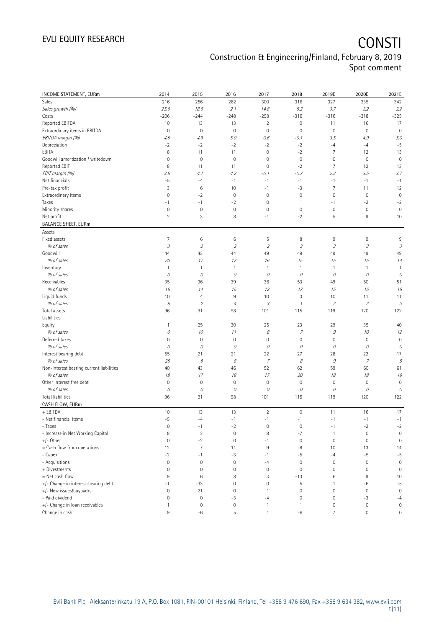# EVLI EQUITY RESEARCH **CONSTI**

### Construction & Engineering/Finland, February 8, 2019 Spot comment

| <b>INCOME STATEMENT, EURm</b>            | 2014                       | 2015              | 2016                      | 2017                        | 2018                          | 2019E                               | 2020E                                                                                                                                                                                                                                                                                                                                                                                                                                                     | 2021E                      |
|------------------------------------------|----------------------------|-------------------|---------------------------|-----------------------------|-------------------------------|-------------------------------------|-----------------------------------------------------------------------------------------------------------------------------------------------------------------------------------------------------------------------------------------------------------------------------------------------------------------------------------------------------------------------------------------------------------------------------------------------------------|----------------------------|
| Sales                                    | 216                        | 256               | 262                       | 300                         | 316                           | 327                                 | 335                                                                                                                                                                                                                                                                                                                                                                                                                                                       | 342                        |
| Sales growth (%)                         | 25.6                       | 18.6              | 2.1                       | 14.8                        | 5.2                           | 3.7                                 | 2.2                                                                                                                                                                                                                                                                                                                                                                                                                                                       | 2.2                        |
| Costs                                    | $-206$                     | $-244$            | $-248$                    | $-298$                      | $-316$                        | $-316$                              | $-318$                                                                                                                                                                                                                                                                                                                                                                                                                                                    | $-325$                     |
| Reported EBITDA                          | 10                         | 13                | 13                        | $\overline{2}$              | $\mathsf{O}\xspace$           | 11                                  | 16                                                                                                                                                                                                                                                                                                                                                                                                                                                        | 17                         |
| Extraordinary items in EBITDA            | 0                          | $\mathbf 0$       | $\mathbf 0$               | $\mathbf 0$                 | $\mathbf 0$                   | $\mathsf{O}\xspace$                 | $\mathbf 0$                                                                                                                                                                                                                                                                                                                                                                                                                                               | $\mathbf 0$                |
| EBITDA margin (%)                        | 4.5                        | 4.9               | 5.0                       | 0.6                         | $-0.1$                        | 3.5                                 | 4.9                                                                                                                                                                                                                                                                                                                                                                                                                                                       | 5.0                        |
| Depreciation                             | $-2$                       | $-2$              | $-2$                      | $-2$                        | $-2$                          | $-4$                                | $-4$                                                                                                                                                                                                                                                                                                                                                                                                                                                      | $-5$                       |
| EBITA                                    | 8                          | 11                | 11                        | $\mathbf 0$                 | $-2$                          | $\overline{7}$                      | 12                                                                                                                                                                                                                                                                                                                                                                                                                                                        | 13                         |
| Goodwill amortization / writedown        | $\mathsf{O}\xspace$        | $\mathbf 0$       | $\mathbf 0$               | 0                           | $\mathbf 0$                   | $\mathsf{O}\xspace$                 | $\mathbf 0$                                                                                                                                                                                                                                                                                                                                                                                                                                               | $\mathbf 0$                |
| Reported EBIT                            | 8                          | 11                | 11                        | $\mathbf 0$                 | $-2$                          | $\overline{7}$                      | 12                                                                                                                                                                                                                                                                                                                                                                                                                                                        | 13                         |
| EBIT margin (%)                          | 3.6                        | 4.1               | 4.2                       | $-0.1$                      | $-0.7$                        | 2.3                                 | 3.5                                                                                                                                                                                                                                                                                                                                                                                                                                                       | 3.7                        |
| Net financials                           | $-5$                       | $-4$              | $-1$                      | $-1$                        | $-1$                          | $-1$                                | $-1$                                                                                                                                                                                                                                                                                                                                                                                                                                                      | $-1$                       |
| Pre-tax profit                           | 3                          | $\,6$             | 10                        | $-1$                        | $-3$                          | $\overline{7}$                      | 11                                                                                                                                                                                                                                                                                                                                                                                                                                                        | 12                         |
| Extraordinary items                      | $\mathsf{O}\xspace$        | $-2$              | $\mathbf 0$               | $\mathbf 0$                 | $\mathbf 0$                   | $\mathsf{O}\xspace$                 | $\mathbf 0$                                                                                                                                                                                                                                                                                                                                                                                                                                               | $\mathbf 0$                |
| Taxes                                    | $-1$                       | $-1$              | $-2$                      | $\mathbf 0$                 | $\mathbf{1}$                  | $-1$                                | $-2$                                                                                                                                                                                                                                                                                                                                                                                                                                                      | $-2$                       |
| Minority shares                          | 0                          | $\mathbb O$       | $\mathbf 0$               | $\mathbf 0$                 | $\mathbf 0$                   | $\mathbb O$                         | $\mathbf 0$                                                                                                                                                                                                                                                                                                                                                                                                                                               | $\mathbf 0$                |
| Net profit                               | $\overline{2}$             | 3                 | 8                         | $-1$                        | $-2$                          | 5                                   | 9                                                                                                                                                                                                                                                                                                                                                                                                                                                         | 10                         |
| <b>BALANCE SHEET, EURm</b>               |                            |                   |                           |                             |                               |                                     |                                                                                                                                                                                                                                                                                                                                                                                                                                                           |                            |
| Assets                                   |                            |                   |                           |                             |                               |                                     |                                                                                                                                                                                                                                                                                                                                                                                                                                                           |                            |
| Fixed assets                             | 7                          | 6                 | 6                         | 5                           | 8                             | 9                                   | 9                                                                                                                                                                                                                                                                                                                                                                                                                                                         | 9                          |
| % of sales                               | $\ensuremath{\mathcal{S}}$ | $\overline{2}$    | $\mathcal{D}$             | $\mathfrak z$               | $\ensuremath{\mathcal{S}}$    | $\mathcal{I}% _{G}$                 | $\mathcal{I}% _{G}=\mathcal{I}_{G}=\mathcal{I}_{G}=\mathcal{I}_{G}=\mathcal{I}_{G}=\mathcal{I}_{G}=\mathcal{I}_{G}=\mathcal{I}_{G}=\mathcal{I}_{G}=\mathcal{I}_{G}=\mathcal{I}_{G}=\mathcal{I}_{G}=\mathcal{I}_{G}=\mathcal{I}_{G}=\mathcal{I}_{G}=\mathcal{I}_{G}=\mathcal{I}_{G}=\mathcal{I}_{G}=\mathcal{I}_{G}=\mathcal{I}_{G}=\mathcal{I}_{G}=\mathcal{I}_{G}=\mathcal{I}_{G}=\mathcal{I}_{G}=\mathcal{I}_{G}=\mathcal{I}_{G}=\mathcal{I}_{G}=\math$ | $\ensuremath{\mathcal{S}}$ |
| Goodwill                                 | 44                         | 43                | 44                        | 49                          | 49                            | 49                                  | 49                                                                                                                                                                                                                                                                                                                                                                                                                                                        | 49                         |
| % of sales                               | 20                         | 17                | 17                        | 16                          | 15                            | 15                                  | 15                                                                                                                                                                                                                                                                                                                                                                                                                                                        | 14                         |
| Inventory                                | $\mathbf{1}$               | $\mathbf{1}$      | $\mathbf{1}$              | $\mathbf{1}$                | $\mathbf{1}$                  | $\mathbf{1}$                        | 1                                                                                                                                                                                                                                                                                                                                                                                                                                                         | $\mathbf{1}$               |
| % of sales                               | 0                          | 0                 | 0                         | 0                           | 0                             | 0                                   | 0                                                                                                                                                                                                                                                                                                                                                                                                                                                         | 0                          |
| Receivables                              | 35                         | 36                | 39                        | 36                          | 53                            | 49                                  | 50                                                                                                                                                                                                                                                                                                                                                                                                                                                        | 51                         |
| % of sales                               | 16                         | 14                | 15                        | 12                          | 17                            | 15                                  | 15                                                                                                                                                                                                                                                                                                                                                                                                                                                        | 15                         |
| Liquid funds                             | 10                         | $\overline{4}$    | 9                         | 10                          | 3                             | 10                                  | 11                                                                                                                                                                                                                                                                                                                                                                                                                                                        | 11                         |
| % of sales                               | 5                          | $\overline{2}$    | $\overline{4}$            | 3                           | $\mathcal I$                  | $\mathcal{S}_{\mathcal{S}}$         | 3                                                                                                                                                                                                                                                                                                                                                                                                                                                         | $\ensuremath{\mathcal{S}}$ |
| Total assets<br>Liabilities              | 96                         | 91                | 98                        | 101                         | 115                           | 119                                 | 120                                                                                                                                                                                                                                                                                                                                                                                                                                                       | 122                        |
|                                          |                            | 25                | 30                        | 25                          | 23                            |                                     | 35                                                                                                                                                                                                                                                                                                                                                                                                                                                        | 40                         |
| Equity                                   | $\mathbf{1}$               |                   |                           |                             |                               | 29                                  |                                                                                                                                                                                                                                                                                                                                                                                                                                                           |                            |
| % of sales<br>Deferred taxes             | 0<br>0                     | 10<br>$\mathbf 0$ | 11<br>$\mathsf{O}\xspace$ | 8<br>$\mathbf 0$            | $\overline{z}$<br>$\mathbf 0$ | $\mathcal G$<br>$\mathsf{O}\xspace$ | 10<br>$\mathbf 0$                                                                                                                                                                                                                                                                                                                                                                                                                                         | 12<br>$\mathbf 0$          |
| % of sales                               | 0                          | 0                 | 0                         | 0                           | 0                             | 0                                   | 0                                                                                                                                                                                                                                                                                                                                                                                                                                                         | 0                          |
|                                          |                            | 21                | 21                        | 22                          | 27                            | 28                                  | 22                                                                                                                                                                                                                                                                                                                                                                                                                                                        | 17                         |
| Interest bearing debt<br>% of sales      | 55<br>25                   | 8                 | 8                         | $\overline{7}$              | 8                             | 9                                   | $\overline{z}$                                                                                                                                                                                                                                                                                                                                                                                                                                            | 5                          |
| Non-interest bearing current liabilities | 40                         | 43                | 46                        | 52                          | 62                            | 59                                  | 60                                                                                                                                                                                                                                                                                                                                                                                                                                                        | 61                         |
| % of sales                               | 18                         | 17                | 18                        | 17                          | 20                            | 18                                  | 18                                                                                                                                                                                                                                                                                                                                                                                                                                                        | 18                         |
| Other interest free debt                 | 0                          | $\mathbf 0$       | $\mathbf 0$               | $\mathbf 0$                 | $\mathbf 0$                   | $\mathbb O$                         | $\mathbf 0$                                                                                                                                                                                                                                                                                                                                                                                                                                               | $\mathbf 0$                |
| % of sales                               | 0                          | 0                 | 0                         | 0                           | 0                             | 0                                   | О                                                                                                                                                                                                                                                                                                                                                                                                                                                         | $\mathcal O$               |
| <b>Total liabilities</b>                 | 96                         | 91                | 98                        | 101                         | 115                           | 119                                 | 120                                                                                                                                                                                                                                                                                                                                                                                                                                                       | 122                        |
| CASH FLOW, EURm                          |                            |                   |                           |                             |                               |                                     |                                                                                                                                                                                                                                                                                                                                                                                                                                                           |                            |
| + EBITDA                                 | 10                         | 13                | 13                        | $\sqrt{2}$                  | $\mathbf 0$                   | 11                                  | 16                                                                                                                                                                                                                                                                                                                                                                                                                                                        | 17                         |
|                                          |                            |                   |                           |                             |                               |                                     |                                                                                                                                                                                                                                                                                                                                                                                                                                                           |                            |
| - Net financial items<br>- Taxes         | $-5$<br>0                  | $-4$<br>$-1$      | $-1$<br>$-2$              | $-1$<br>$\mathsf{O}\xspace$ | $-1$<br>$\mathbf 0$           | $-1$<br>-1                          | $-1$<br>$-2$                                                                                                                                                                                                                                                                                                                                                                                                                                              | $-1$<br>$-2$               |
| - Increase in Net Working Capital        | 8                          | $\overline{2}$    | $\mathbb O$               | 8                           | $-7$                          | $\mathbf{1}$                        | $\mathbf 0$                                                                                                                                                                                                                                                                                                                                                                                                                                               | $\mathbf 0$                |
| $+/-$ Other                              | 0                          | $-2$              | $\mathsf{O}\xspace$       | $-1$                        | $\mathbf 0$                   | $\mathsf{O}\xspace$                 | $\mathbf 0$                                                                                                                                                                                                                                                                                                                                                                                                                                               | $\mathbf 0$                |
| = Cash flow from operations              | 12                         | $\overline{7}$    | 11                        | 9                           | -8                            | 10                                  | 13                                                                                                                                                                                                                                                                                                                                                                                                                                                        | 14                         |
| - Capex                                  | $-2$                       | $-1$              | $-3$                      | $-1$                        | $-5$                          | $-4$                                | $-5$                                                                                                                                                                                                                                                                                                                                                                                                                                                      | $-5$                       |
| - Acquisitions                           | 0                          | $\mathbf 0$       | $\mathsf{O}\xspace$       | $-4$                        | $\mathbf 0$                   | $\mathbb O$                         | $\mathbf 0$                                                                                                                                                                                                                                                                                                                                                                                                                                               | $\mathbf 0$                |
| + Divestments                            | 0                          | $\mathbf 0$       | $\mathsf{O}\xspace$       | $\mathbf 0$                 | $\mathbf 0$                   | $\mathsf{O}\xspace$                 | $\mathbf 0$                                                                                                                                                                                                                                                                                                                                                                                                                                               | $\mathsf{O}\xspace$        |
| $=$ Net cash flow                        | 9                          | 6                 | 8                         | 3                           | $-13$                         | $\,6$                               | 9                                                                                                                                                                                                                                                                                                                                                                                                                                                         | 10                         |
| +/- Change in interest-bearing debt      | $-1$                       | $-33$             | $\mathsf{O}\xspace$       | $\mathsf{O}\xspace$         | 5                             | $\mathbf{1}$                        | $-6$                                                                                                                                                                                                                                                                                                                                                                                                                                                      | $-5$                       |
| +/- New issues/buybacks                  | $\mathsf{O}\xspace$        | 21                | $\mathbf 0$               | 1                           | $\mathbf 0$                   | $\mathsf{O}\xspace$                 | $\mathbf 0$                                                                                                                                                                                                                                                                                                                                                                                                                                               | $\mathbf 0$                |
| - Paid dividend                          | 0                          | $\mathbb O$       | $-3$                      | $-4$                        | $\mathbf 0$                   | $\mathbb O$                         | $-3$                                                                                                                                                                                                                                                                                                                                                                                                                                                      | $-4$                       |
| +/- Change in loan receivables           | $\mathbf{1}$               | $\mathbf 0$       | $\mathsf{O}\xspace$       | 1                           | $\mathbf{1}$                  | $\mathbb O$                         | $\bf 0$                                                                                                                                                                                                                                                                                                                                                                                                                                                   | $\mathbb O$                |
| Change in cash                           | $\,9$                      | $-6$              | 5                         | $\mathbf{1}$                | $-6$                          | $\overline{7}$                      | $\mathbb O$                                                                                                                                                                                                                                                                                                                                                                                                                                               | $\mathsf{O}\xspace$        |
|                                          |                            |                   |                           |                             |                               |                                     |                                                                                                                                                                                                                                                                                                                                                                                                                                                           |                            |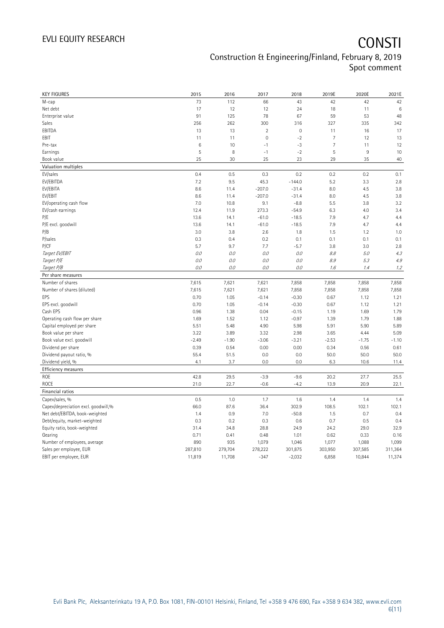## EVLI EQUITY RESEARCH **CONSTI** Construction & Engineering/Finland, February 8, 2019 Spot comment

| <b>KEY FIGURES</b>                                                    | 2015           | 2016        | 2017           | 2018        | 2019E          | 2020E   | 2021E           |
|-----------------------------------------------------------------------|----------------|-------------|----------------|-------------|----------------|---------|-----------------|
| M-cap                                                                 | 73             | 112         | 66             | 43          | 42             | 42      | 42              |
| Net debt                                                              | 17             | 12          | 12             | 24          | 18             | 11      | $6\phantom{1}6$ |
| Enterprise value                                                      | 91             | 125         | 78             | 67          | 59             | 53      | 48              |
| Sales                                                                 | 256            | 262         | 300            | 316         | 327            | 335     | 342             |
| EBITDA                                                                | 13             | 13          | $\sqrt{2}$     | $\mathbb O$ | 11             | 16      | 17              |
| EBIT                                                                  | 11             | 11          | $\overline{0}$ | $-2$        | $\overline{7}$ | 12      | 13              |
| Pre-tax                                                               | $\,6$          | 10          | $-1$           | $-3$        | $\overline{7}$ | 11      | 12              |
| Earnings                                                              | $\overline{5}$ | 8           | $-1$           | $-2$        | 5              | $9\,$   | 10              |
| Book value                                                            | 25             | 30          | 25             | 23          | 29             | 35      | 40              |
| Valuation multiples                                                   |                |             |                |             |                |         |                 |
| EV/sales                                                              | 0.4            | 0.5         | 0.3            | 0.2         | 0.2            | 0.2     | 0.1             |
| EV/EBITDA                                                             | 7.2            | 9.5         | 45.3           | $-144.0$    | 5.2            | 3.3     | 2.8             |
| EV/EBITA                                                              | 8.6            | 11.4        | $-207.0$       | $-31.4$     | 8.0            | 4.5     | 3.8             |
| EV/EBIT                                                               | 8.6            | 11.4        | $-207.0$       | $-31.4$     | 8.0            | 4.5     | 3.8             |
| EV/operating cash flow                                                | 7.0            | 10.8        | 9.1            | $-8.8$      | 5.5            | 3.8     | 3.2             |
| EV/cash earnings                                                      | 12.4           | 11.9        | 273.3          | $-54.9$     | 6.3            | 4.0     | 3.4             |
| P/E                                                                   | 13.6           | 14.1        | $-61.0$        | $-18.5$     | 7.9            | 4.7     | 4.4             |
| P/E excl. goodwill                                                    | 13.6           | 14.1        | $-61.0$        | $-18.5$     | 7.9            | 4.7     | 4.4             |
| P/B                                                                   | 3.0            | 3.8         | 2.6            | 1.8         | 1.5            | 1.2     | 1.0             |
| P/sales                                                               | 0.3            | 0.4         | 0.2            | 0.1         | 0.1            | 0.1     | 0.1             |
| P/CF                                                                  | 5.7            | 9.7         | 7.7            | $-5.7$      | 3.8            | 3.0     | 2.8             |
| Target EV/EBIT                                                        | 0.0            | 0.0         | 0.0            | 0.0         | 8.8            | 5.0     | 4.3             |
| Target P/E                                                            | 0.0            | 0.0         | $0.0$          | 0.0         | 8.9            | 5.3     | 4.9             |
| Target P/B                                                            | 0.0            | 0.0         | 0.0            | 0.0         | 1.6            | 1.4     | 1.2             |
| Per share measures                                                    |                |             |                |             |                |         |                 |
| Number of shares                                                      | 7,615          | 7,621       | 7,621          | 7,858       | 7,858          | 7,858   | 7,858           |
| Number of shares (diluted)                                            | 7,615          | 7,621       | 7,621          | 7,858       | 7,858          | 7,858   | 7,858           |
| EPS                                                                   | 0.70           | 1.05        | $-0.14$        | $-0.30$     | 0.67           | 1.12    | 1.21            |
| EPS excl. goodwill                                                    | 0.70           | 1.05        | $-0.14$        | $-0.30$     | 0.67           | 1.12    | 1.21            |
| Cash EPS                                                              | 0.96           | 1.38        | 0.04           | $-0.15$     | 1.19           | 1.69    | 1.79            |
| Operating cash flow per share                                         | 1.69           | 1.52        | 1.12           | $-0.97$     | 1.39           | 1.79    | 1.88            |
| Capital employed per share                                            | 5.51           | 5.48        | 4.90           | 5.98        | 5.91           | 5.90    | 5.89            |
| Book value per share                                                  | 3.22           | 3.89        | 3.32           | 2.98        | 3.65           | 4.44    | 5.09            |
| Book value excl. goodwill                                             | $-2.49$        | $-1.90$     | $-3.06$        | $-3.21$     | $-2.53$        | $-1.75$ | $-1.10$         |
| Dividend per share                                                    | 0.39           | 0.54        | 0.00           | 0.00        | 0.34           | 0.56    | 0.61            |
| Dividend payout ratio, %                                              | 55.4           | 51.5        | 0.0            | 0.0         | 50.0           | 50.0    | 50.0            |
| Dividend yield, %                                                     | 4.1            | 3.7         | 0.0            | 0.0         | 6.3            | 10.6    | 11.4            |
| Efficiency measures                                                   |                |             |                |             |                |         |                 |
| ROE                                                                   | 42.8           | 29.5        | $-3.9$         | $-9.6$      | 20.2           | 27.7    | 25.5            |
| ROCE                                                                  | 21.0           | 22.7        | $-0.6$         | $-4.2$      | 13.9           | 20.9    | 22.1            |
| Financial ratios                                                      |                |             |                |             |                |         |                 |
| Capex/sales, %                                                        | 0.5            | 1.0         | 1.7            | 1.6         | 1.4            | 1.4     | 1.4             |
|                                                                       | 66.0           | 87.6        | 36.4           | 302.9       | 108.5          | 102.1   | 102.1           |
| Capex/depreciation excl. goodwill,%<br>Net debt/EBITDA, book-weighted | 1.4            | 0.9         | 7.0            | $-50.8$     | 1.5            | 0.7     | 0.4             |
| Debt/equity, market-weighted                                          | 0.3            | 0.2         | 0.3            | 0.6         | 0.7            | 0.5     | 0.4             |
|                                                                       |                |             | 28.8           | 24.9        | 24.2           | 29.0    | 32.9            |
| Equity ratio, book-weighted                                           | 31.4           | 34.8        | 0.48           |             |                |         |                 |
| Gearing                                                               | 0.71<br>890    | 0.41<br>935 |                | 1.01        | 0.62<br>1,077  | 0.33    | 0.16<br>1,099   |
| Number of employees, average                                          |                |             | 1,079          | 1,046       |                | 1,088   |                 |
| Sales per employee, EUR                                               | 287,810        | 279,704     | 278,222        | 301,875     | 303,950        | 307,585 | 311,364         |
| EBIT per employee, EUR                                                | 11,819         | 11,708      | $-347$         | $-2,032$    | 6,858          | 10,844  | 11,374          |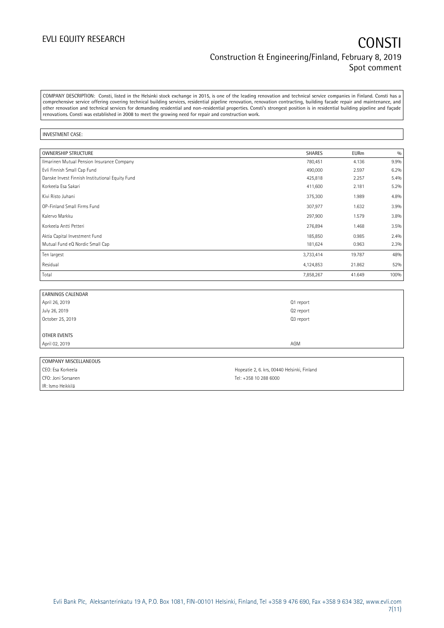## EVLI EQUITY RESEARCH **CONSTI** Construction & Engineering/Finland, February 8, 2019 Spot comment

COMPANY DESCRIPTION: Consti, listed in the Helsinki stock exchange in 2015, is one of the leading renovation and technical service companies in Finland. Consti has a comprehensive service offering covering technical building services, residential pipeline renovation, renovation contracting, building facade repair and maintenance, and other renovation and technical services for demanding residential and non-residential properties. Consti's strongest position is in residential building pipeline and façade renovations. Consti was established in 2008 to meet the growing need for repair and construction work.

### INVESTMENT CASE:

| <b>OWNERSHIP STRUCTURE</b>                      | <b>SHARES</b> | <b>EURm</b> | 0/0  |
|-------------------------------------------------|---------------|-------------|------|
| Ilmarinen Mutual Pension Insurance Company      | 780,451       | 4.136       | 9.9% |
| Evli Finnish Small Cap Fund                     | 490,000       | 2.597       | 6.2% |
| Danske Invest Finnish Institutional Equity Fund | 425,818       | 2.257       | 5.4% |
| Korkeela Esa Sakari                             | 411,600       | 2.181       | 5.2% |
| Kivi Risto Juhani                               | 375,300       | 1.989       | 4.8% |
| OP-Finland Small Firms Fund                     | 307,977       | 1.632       | 3.9% |
| Kalervo Markku                                  | 297,900       | 1.579       | 3.8% |
| Korkeela Antti Petteri                          | 276,894       | 1.468       | 3.5% |
| Aktia Capital Investment Fund                   | 185,850       | 0.985       | 2.4% |
| Mutual Fund eQ Nordic Small Cap                 | 181,624       | 0.963       | 2.3% |
| Ten largest                                     | 3,733,414     | 19.787      | 48%  |
| Residual                                        | 4,124,853     | 21.862      | 52%  |
| Total                                           | 7,858,267     | 41.649      | 100% |

| <b>EARNINGS CALENDAR</b> |           |  |
|--------------------------|-----------|--|
| April 26, 2019           | Q1 report |  |
| July 26, 2019            | Q2 report |  |
| October 25, 2019         | Q3 report |  |
|                          |           |  |
| OTHER EVENTS             |           |  |
| April 02, 2019           | AGM       |  |
|                          |           |  |

| COMPANY MISCELLANEOUS |                                             |
|-----------------------|---------------------------------------------|
| CEO: Esa Korkeela     | Hopeatie 2, 6. krs, 00440 Helsinki, Finland |
| CFO: Joni Sorsanen    | Tel: +358 10 288 6000                       |
| IR: Ismo Heikkilä     |                                             |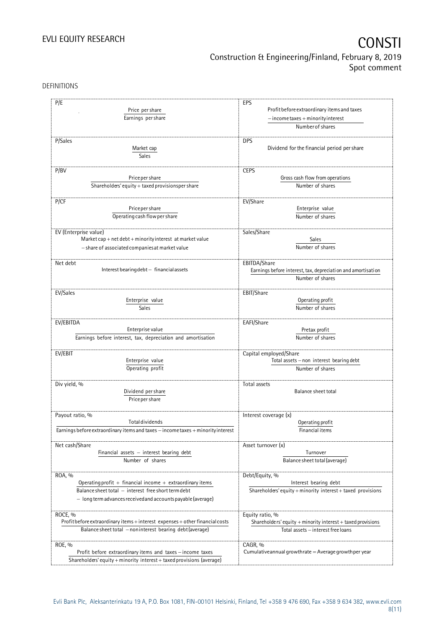# EVLI EQUITY RESEARCH **CONSTI** Construction & Engineering/Finland, February 8, 2019 Spot comment

DEFINITIONS

| P/E<br>Price per share<br>Earnings per share                                     | EPS<br>Profit before extraordinary items and taxes<br>$-$ income taxes + minority interest |  |  |
|----------------------------------------------------------------------------------|--------------------------------------------------------------------------------------------|--|--|
|                                                                                  | Number of shares                                                                           |  |  |
| P/Sales<br>Market cap<br>Sales                                                   | <b>DPS</b><br>Dividend for the financial period per share                                  |  |  |
|                                                                                  |                                                                                            |  |  |
| P/BV                                                                             | <b>CEPS</b>                                                                                |  |  |
| Price per share                                                                  | Gross cash flow from operations                                                            |  |  |
| Shareholders' equity + taxed provisionsper share                                 | Number of shares                                                                           |  |  |
| P/CF                                                                             | EV/Share                                                                                   |  |  |
| Price per share                                                                  |                                                                                            |  |  |
|                                                                                  | Enterprise value                                                                           |  |  |
| Operating cash flow per share                                                    | Number of shares                                                                           |  |  |
| EV (Enterprise value)                                                            | Sales/Share                                                                                |  |  |
| Market cap + net debt + minority interest at market value                        | Sales                                                                                      |  |  |
| - share of associated companies at market value                                  | Number of shares                                                                           |  |  |
|                                                                                  |                                                                                            |  |  |
| Net debt                                                                         |                                                                                            |  |  |
| Interest bearing debt - financial assets                                         | EBITDA/Share<br>Earnings before interest, tax, depreciation and amortisation               |  |  |
|                                                                                  | Number of shares                                                                           |  |  |
|                                                                                  |                                                                                            |  |  |
| EV/Sales                                                                         | EBIT/Share                                                                                 |  |  |
| Enterprise value                                                                 | Operating profit                                                                           |  |  |
| Sales                                                                            | Number of shares                                                                           |  |  |
|                                                                                  |                                                                                            |  |  |
| EV/EBITDA                                                                        | EAFI/Share                                                                                 |  |  |
| Enterprise value                                                                 | Pretax profit                                                                              |  |  |
| Earnings before interest, tax, depreciation and amortisation                     | Number of shares                                                                           |  |  |
|                                                                                  |                                                                                            |  |  |
| EV/EBIT                                                                          | Capital employed/Share                                                                     |  |  |
| Enterprise value                                                                 | Total assets - non interest bearing debt                                                   |  |  |
| Operating profit                                                                 | Number of shares                                                                           |  |  |
|                                                                                  |                                                                                            |  |  |
| Div yield, %                                                                     | Total assets                                                                               |  |  |
| Dividend per share                                                               | <b>Balance sheet total</b>                                                                 |  |  |
| Price per share                                                                  |                                                                                            |  |  |
|                                                                                  |                                                                                            |  |  |
| Payout ratio, %                                                                  | Interest coverage (x)                                                                      |  |  |
| <b>Total dividends</b>                                                           | Operating profit                                                                           |  |  |
| Earnings before extraordinary items and taxes - income taxes + minority interest | Financial items                                                                            |  |  |
| Net cash/Share                                                                   | Asset turnover (x)                                                                         |  |  |
| Financial assets $-$ interest bearing debt                                       | Turnover                                                                                   |  |  |
| Number of shares                                                                 | Balance sheet total (average)                                                              |  |  |
|                                                                                  |                                                                                            |  |  |
| ROA, %                                                                           | Debt/Equity, %                                                                             |  |  |
| Operating profit $+$ financial income $+$ extraordinary items                    | Interest bearing debt                                                                      |  |  |
| Balance sheet total - interest free short term debt                              | Shareholders' equity + minority interest + taxed provisions                                |  |  |
| - long term advances received and accounts payable (average)                     |                                                                                            |  |  |
|                                                                                  |                                                                                            |  |  |
| ROCE, %                                                                          | Equity ratio, %                                                                            |  |  |
| Profit before extraordinary items + interest expenses + other financial costs    | Shareholders' equity $+$ minority interest $+$ taxed provisions                            |  |  |
| Balance sheet total - noninterest bearing debt (average)                         | Total assets - interest free loans                                                         |  |  |
|                                                                                  |                                                                                            |  |  |
| ROE, %                                                                           | CAGR, %                                                                                    |  |  |
| Profit before extraordinary items and taxes - income taxes                       | Cumulative annual growthrate $=$ Average growthper year                                    |  |  |
| Shareholders' equity + minority interest + taxed provisions (average)            |                                                                                            |  |  |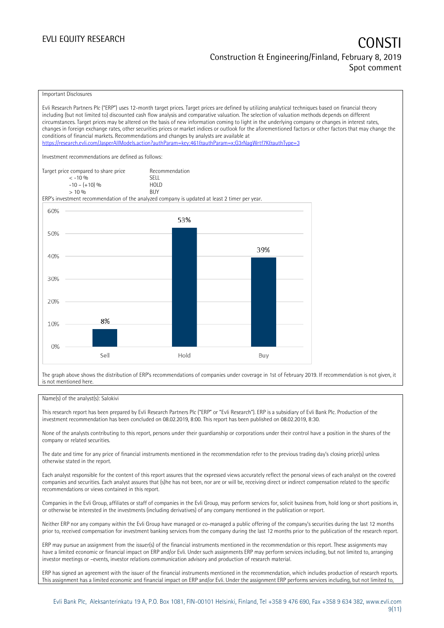### EVLI EQUITY RESEARCH **CONSTITUTE OF A CONSTITUTE OF A CONSTITUTE OF A CONSTITUTE OF A CONSTITUTE OF A CONSTITUTE** Construction & Engineering/Finland, February 8, 2019 Spot comment

Important Disclosures

Evli Research Partners Plc ("ERP") uses 12-month target prices. Target prices are defined by utilizing analytical techniques based on financial theory including (but not limited to) discounted cash flow analysis and comparative valuation. The selection of valuation methods depends on different circumstances. Target prices may be altered on the basis of new information coming to light in the underlying company or changes in interest rates, changes in foreign exchange rates, other securities prices or market indices or outlook for the aforementioned factors or other factors that may change the conditions of financial markets. Recommendations and changes by analysts are available at <https://research.evli.com/JasperAllModels.action?authParam=key;461&authParam=x;G3rNagWrtf7K&authType=3> Investment recommendations are defined as follows: Target price compared to share price Recommendation<br>  $\leq 10\%$  $\langle 5, 10, 10 \rangle$  SELL<br>  $\langle -10, 1, 10 \rangle$   $\langle 6, 10 \rangle$   $\langle 10, 10 \rangle$  $-10 - (+10) \%$  HOL<br>  $> 10 \%$  RIJY  $> 10\%$ ERP's investment recommendation of the analyzed company is updated at least 2 timer per year. 60% 53% 50% 39% 40% 30% 20% 8% 10%  $0%$ Sell Hold Buy

The graph above shows the distribution of ERP's recommendations of companies under coverage in 1st of February 2019. If recommendation is not given, it is not mentioned here.

### Name(s) of the analyst(s): Salokivi

This research report has been prepared by Evli Research Partners Plc ("ERP" or "Evli Research"). ERP is a subsidiary of Evli Bank Plc. Production of the investment recommendation has been concluded on 08.02.2019, 8:00. This report has been published on 08.02.2019, 8:30.

None of the analysts contributing to this report, persons under their guardianship or corporations under their control have a position in the shares of the company or related securities.

The date and time for any price of financial instruments mentioned in the recommendation refer to the previous trading day's closing price(s) unless otherwise stated in the report.

Each analyst responsible for the content of this report assures that the expressed views accurately reflect the personal views of each analyst on the covered companies and securities. Each analyst assures that (s)he has not been, nor are or will be, receiving direct or indirect compensation related to the specific recommendations or views contained in this report.

Companies in the Evli Group, affiliates or staff of companies in the Evli Group, may perform services for, solicit business from, hold long or short positions in, or otherwise be interested in the investments (including derivatives) of any company mentioned in the publication or report.

Neither ERP nor any company within the Evli Group have managed or co-managed a public offering of the company's securities during the last 12 months prior to, received compensation for investment banking services from the company during the last 12 months prior to the publication of the research report.

ERP may pursue an assignment from the issuer(s) of the financial instruments mentioned in the recommendation or this report. These assignments may have a limited economic or financial impact on ERP and/or Evli. Under such assignments ERP may perform services including, but not limited to, arranging investor meetings or –events, investor relations communication advisory and production of research material.

ERP has signed an agreement with the issuer of the financial instruments mentioned in the recommendation, which includes production of research reports. This assignment has a limited economic and financial impact on ERP and/or Evli. Under the assignment ERP performs services including, but not limited to,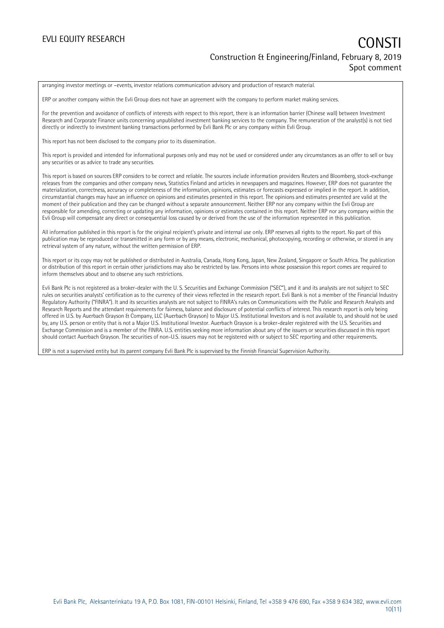arranging investor meetings or –events, investor relations communication advisory and production of research material.

ERP or another company within the Evli Group does not have an agreement with the company to perform market making services.

For the prevention and avoidance of conflicts of interests with respect to this report, there is an information barrier (Chinese wall) between Investment Research and Corporate Finance units concerning unpublished investment banking services to the company. The remuneration of the analyst(s) is not tied directly or indirectly to investment banking transactions performed by Evli Bank Plc or any company within Evli Group.

This report has not been disclosed to the company prior to its dissemination.

This report is provided and intended for informational purposes only and may not be used or considered under any circumstances as an offer to sell or buy any securities or as advice to trade any securities.

This report is based on sources ERP considers to be correct and reliable. The sources include information providers Reuters and Bloomberg, stock-exchange releases from the companies and other company news, Statistics Finland and articles in newspapers and magazines. However, ERP does not guarantee the materialization, correctness, accuracy or completeness of the information, opinions, estimates or forecasts expressed or implied in the report. In addition, circumstantial changes may have an influence on opinions and estimates presented in this report. The opinions and estimates presented are valid at the moment of their publication and they can be changed without a separate announcement. Neither ERP nor any company within the Evli Group are responsible for amending, correcting or updating any information, opinions or estimates contained in this report. Neither ERP nor any company within the Evli Group will compensate any direct or consequential loss caused by or derived from the use of the information represented in this publication.

All information published in this report is for the original recipient's private and internal use only. ERP reserves all rights to the report. No part of this publication may be reproduced or transmitted in any form or by any means, electronic, mechanical, photocopying, recording or otherwise, or stored in any retrieval system of any nature, without the written permission of ERP.

This report or its copy may not be published or distributed in Australia, Canada, Hong Kong, Japan, New Zealand, Singapore or South Africa. The publication or distribution of this report in certain other jurisdictions may also be restricted by law. Persons into whose possession this report comes are required to inform themselves about and to observe any such restrictions.

Evli Bank Plc is not registered as a broker-dealer with the U. S. Securities and Exchange Commission ("SEC"), and it and its analysts are not subject to SEC rules on securities analysts' certification as to the currency of their views reflected in the research report. Evli Bank is not a member of the Financial Industry Regulatory Authority ("FINRA"). It and its securities analysts are not subject to FINRA's rules on Communications with the Public and Research Analysts and Research Reports and the attendant requirements for fairness, balance and disclosure of potential conflicts of interest. This research report is only being offered in U.S. by Auerbach Grayson & Company, LLC (Auerbach Grayson) to Major U.S. Institutional Investors and is not available to, and should not be used by, any U.S. person or entity that is not a Major U.S. Institutional Investor. Auerbach Grayson is a broker-dealer registered with the U.S. Securities and Exchange Commission and is a member of the FINRA. U.S. entities seeking more information about any of the issuers or securities discussed in this report should contact Auerbach Grayson. The securities of non-U.S. issuers may not be registered with or subject to SEC reporting and other requirements.

ERP is not a supervised entity but its parent company Evli Bank Plc is supervised by the Finnish Financial Supervision Authority.